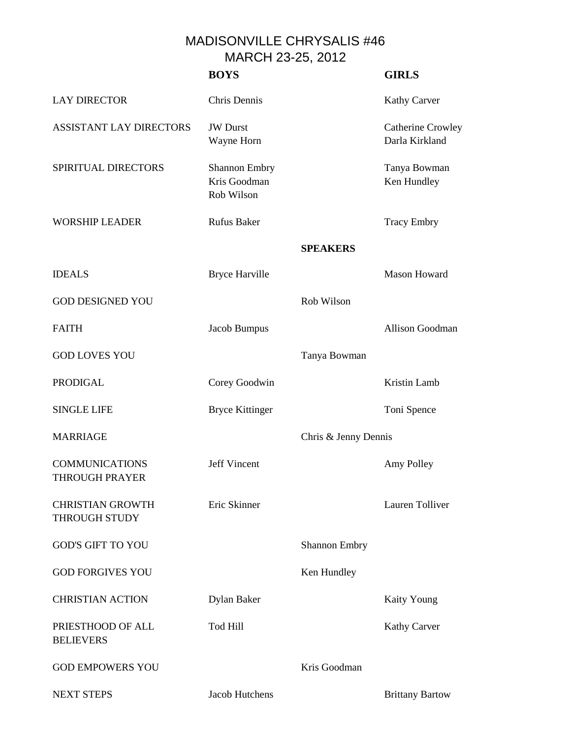MADISONVILLE CHRYSALIS #46 MARCH 23-25, 2012

|                                                 | <b>BOYS</b>                                        |                      | <b>GIRLS</b>                        |
|-------------------------------------------------|----------------------------------------------------|----------------------|-------------------------------------|
| <b>LAY DIRECTOR</b>                             | Chris Dennis                                       |                      | <b>Kathy Carver</b>                 |
| <b>ASSISTANT LAY DIRECTORS</b>                  | <b>JW</b> Durst<br>Wayne Horn                      |                      | Catherine Crowley<br>Darla Kirkland |
| SPIRITUAL DIRECTORS                             | <b>Shannon Embry</b><br>Kris Goodman<br>Rob Wilson |                      | Tanya Bowman<br>Ken Hundley         |
| <b>WORSHIP LEADER</b>                           | <b>Rufus Baker</b>                                 |                      | <b>Tracy Embry</b>                  |
|                                                 |                                                    | <b>SPEAKERS</b>      |                                     |
| <b>IDEALS</b>                                   | <b>Bryce Harville</b>                              |                      | <b>Mason Howard</b>                 |
| <b>GOD DESIGNED YOU</b>                         |                                                    | Rob Wilson           |                                     |
| <b>FAITH</b>                                    | Jacob Bumpus                                       |                      | Allison Goodman                     |
| <b>GOD LOVES YOU</b>                            |                                                    | Tanya Bowman         |                                     |
| <b>PRODIGAL</b>                                 | Corey Goodwin                                      |                      | Kristin Lamb                        |
| <b>SINGLE LIFE</b>                              | <b>Bryce Kittinger</b>                             |                      | Toni Spence                         |
| <b>MARRIAGE</b>                                 |                                                    | Chris & Jenny Dennis |                                     |
| <b>COMMUNICATIONS</b><br><b>THROUGH PRAYER</b>  | <b>Jeff Vincent</b>                                |                      | Amy Polley                          |
| <b>CHRISTIAN GROWTH</b><br><b>THROUGH STUDY</b> | Eric Skinner                                       |                      | Lauren Tolliver                     |
| <b>GOD'S GIFT TO YOU</b>                        |                                                    | <b>Shannon Embry</b> |                                     |
| <b>GOD FORGIVES YOU</b>                         |                                                    | Ken Hundley          |                                     |
| <b>CHRISTIAN ACTION</b>                         | Dylan Baker                                        |                      | <b>Kaity Young</b>                  |
| PRIESTHOOD OF ALL<br><b>BELIEVERS</b>           | Tod Hill                                           |                      | <b>Kathy Carver</b>                 |
| <b>GOD EMPOWERS YOU</b>                         |                                                    | Kris Goodman         |                                     |
| <b>NEXT STEPS</b>                               | Jacob Hutchens                                     |                      | <b>Brittany Bartow</b>              |